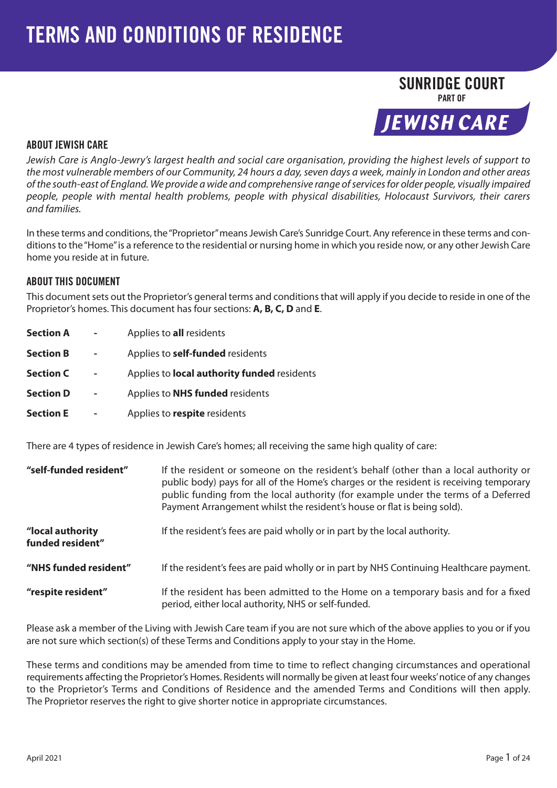# SUNRIDGE COURT PART OF**JEWISH CARE**

## ABOUT JEWISH CARE

Jewish Care is Anglo-Jewry's largest health and social care organisation, providing the highest levels of support to the most vulnerable members of our Community, 24 hours a day, seven days a week, mainly in London and other areas of the south-east of England. We provide a wide and comprehensive range of services for older people, visually impaired people, people with mental health problems, people with physical disabilities, Holocaust Survivors, their carers and families.

In these terms and conditions, the "Proprietor" means Jewish Care's Sunridge Court. Any reference in these terms and conditions to the "Home" is a reference to the residential or nursing home in which you reside now, or any other Jewish Care home you reside at in future.

#### ABOUT THIS DOCUMENT

This document sets out the Proprietor's general terms and conditions that will apply if you decide to reside in one of the Proprietor's homes. This document has four sections: **A, B, C, D** and **E**.

| <b>Section A</b> | Applies to all residents                           |
|------------------|----------------------------------------------------|
| <b>Section B</b> | Applies to <b>self-funded</b> residents            |
| <b>Section C</b> | Applies to <b>local authority funded</b> residents |
| <b>Section D</b> | Applies to <b>NHS funded</b> residents             |
| <b>Section E</b> | Applies to respite residents                       |

There are 4 types of residence in Jewish Care's homes; all receiving the same high quality of care:

| "self-funded resident"               | If the resident or someone on the resident's behalf (other than a local authority or<br>public body) pays for all of the Home's charges or the resident is receiving temporary<br>public funding from the local authority (for example under the terms of a Deferred<br>Payment Arrangement whilst the resident's house or flat is being sold). |  |
|--------------------------------------|-------------------------------------------------------------------------------------------------------------------------------------------------------------------------------------------------------------------------------------------------------------------------------------------------------------------------------------------------|--|
| "local authority<br>funded resident" | If the resident's fees are paid wholly or in part by the local authority.                                                                                                                                                                                                                                                                       |  |
| "NHS funded resident"                | If the resident's fees are paid wholly or in part by NHS Continuing Healthcare payment.                                                                                                                                                                                                                                                         |  |
| "respite resident"                   | If the resident has been admitted to the Home on a temporary basis and for a fixed<br>period, either local authority, NHS or self-funded.                                                                                                                                                                                                       |  |

Please ask a member of the Living with Jewish Care team if you are not sure which of the above applies to you or if you are not sure which section(s) of these Terms and Conditions apply to your stay in the Home.

These terms and conditions may be amended from time to time to reflect changing circumstances and operational requirements affecting the Proprietor's Homes. Residents will normally be given at least four weeks' notice of any changes to the Proprietor's Terms and Conditions of Residence and the amended Terms and Conditions will then apply. The Proprietor reserves the right to give shorter notice in appropriate circumstances.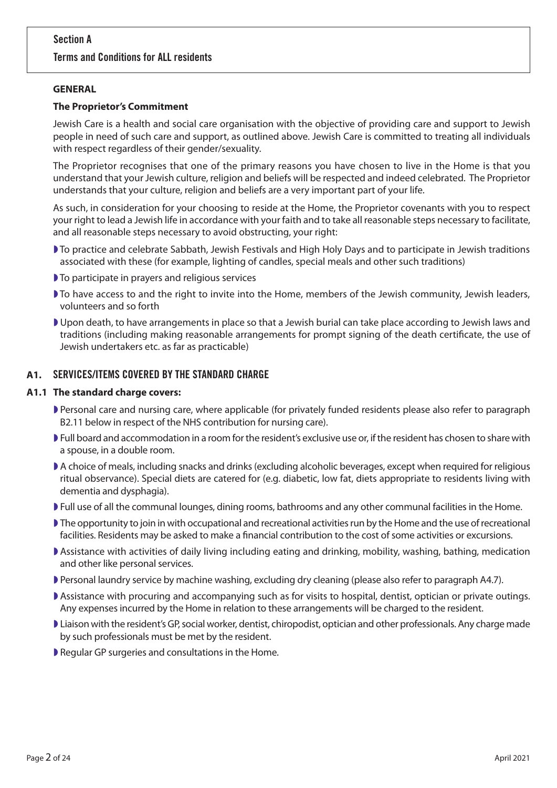## Section A

## Terms and Conditions for ALL residents

#### **GENERAL**

#### **The Proprietor's Commitment**

Jewish Care is a health and social care organisation with the objective of providing care and support to Jewish people in need of such care and support, as outlined above. Jewish Care is committed to treating all individuals with respect regardless of their gender/sexuality.

The Proprietor recognises that one of the primary reasons you have chosen to live in the Home is that you understand that your Jewish culture, religion and beliefs will be respected and indeed celebrated. The Proprietor understands that your culture, religion and beliefs are a very important part of your life.

As such, in consideration for your choosing to reside at the Home, the Proprietor covenants with you to respect your right to lead a Jewish life in accordance with your faith and to take all reasonable steps necessary to facilitate, and all reasonable steps necessary to avoid obstructing, your right:

- ◗ To practice and celebrate Sabbath, Jewish Festivals and High Holy Days and to participate in Jewish traditions associated with these (for example, lighting of candles, special meals and other such traditions)
- ◗ To participate in prayers and religious services
- ◗ To have access to and the right to invite into the Home, members of the Jewish community, Jewish leaders, volunteers and so forth
- ◗ Upon death, to have arrangements in place so that a Jewish burial can take place according to Jewish laws and traditions (including making reasonable arrangements for prompt signing of the death certificate, the use of Jewish undertakers etc. as far as practicable)

#### **A1.** SERVICES/ITEMS COVERED BY THE STANDARD CHARGE

#### **A1.1 The standard charge covers:**

- ◗ Personal care and nursing care, where applicable (for privately funded residents please also refer to paragraph B2.11 below in respect of the NHS contribution for nursing care).
- ◗ Full board and accommodation in a room for the resident's exclusive use or, if the resident has chosen to share with a spouse, in a double room.
- ◗ A choice of meals, including snacks and drinks (excluding alcoholic beverages, except when required for religious ritual observance). Special diets are catered for (e.g. diabetic, low fat, diets appropriate to residents living with dementia and dysphagia).
- ◗ Full use of all the communal lounges, dining rooms, bathrooms and any other communal facilities in the Home.
- ◗ The opportunity to join in with occupational and recreational activities run by the Home and the use of recreational facilities. Residents may be asked to make a financial contribution to the cost of some activities or excursions.
- ◗ Assistance with activities of daily living including eating and drinking, mobility, washing, bathing, medication and other like personal services.
- ◗ Personal laundry service by machine washing, excluding dry cleaning (please also refer to paragraph A4.7).
- ◗ Assistance with procuring and accompanying such as for visits to hospital, dentist, optician or private outings. Any expenses incurred by the Home in relation to these arrangements will be charged to the resident.
- ◗ Liaison with the resident's GP, social worker, dentist, chiropodist, optician and other professionals. Any charge made by such professionals must be met by the resident.
- ◗ Regular GP surgeries and consultations in the Home.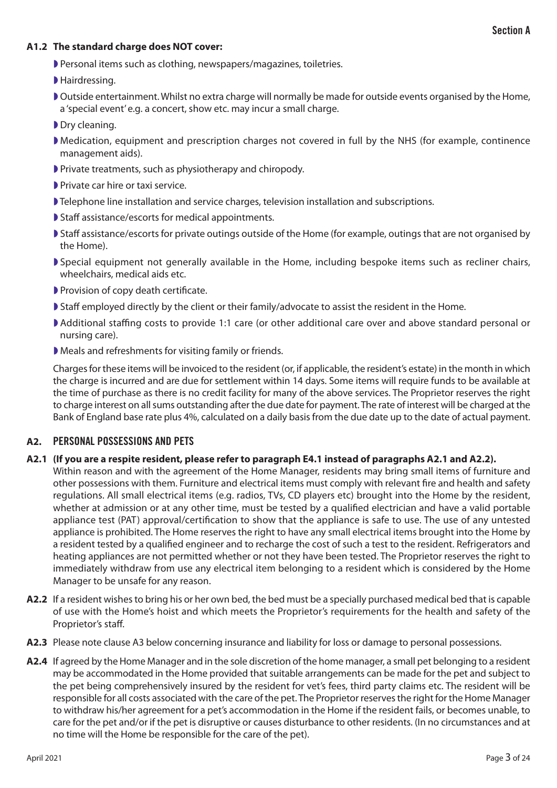#### **A1.2 The standard charge does NOT cover:**

- ◗ Personal items such as clothing, newspapers/magazines, toiletries.
- ◗ Hairdressing.
- ◗ Outside entertainment. Whilst no extra charge will normally be made for outside events organised by the Home, a 'special event' e.g. a concert, show etc. may incur a small charge.
- ▶ Dry cleaning.
- ◗ Medication, equipment and prescription charges not covered in full by the NHS (for example, continence management aids).
- ◗ Private treatments, such as physiotherapy and chiropody.
- **▶ Private car hire or taxi service.**
- ◗ Telephone line installation and service charges, television installation and subscriptions.
- ◗ Staff assistance/escorts for medical appointments.
- ◗ Staff assistance/escorts for private outings outside of the Home (for example, outings that are not organised by the Home).
- ◗ Special equipment not generally available in the Home, including bespoke items such as recliner chairs, wheelchairs, medical aids etc.
- ◗ Provision of copy death certificate.
- ◗ Staff employed directly by the client or their family/advocate to assist the resident in the Home.
- ◗ Additional staffing costs to provide 1:1 care (or other additional care over and above standard personal or nursing care).
- ◗ Meals and refreshments for visiting family or friends.

Charges for these items will be invoiced to the resident (or, if applicable, the resident's estate) in the month in which the charge is incurred and are due for settlement within 14 days. Some items will require funds to be available at the time of purchase as there is no credit facility for many of the above services. The Proprietor reserves the right to charge interest on all sums outstanding after the due date for payment. The rate of interest will be charged at the Bank of England base rate plus 4%, calculated on a daily basis from the due date up to the date of actual payment.

#### **A2.** PERSONAL POSSESSIONS AND PETS

#### **A2.1 (If you are a respite resident, please refer to paragraph E4.1 instead of paragraphs A2.1 and A2.2).**

Within reason and with the agreement of the Home Manager, residents may bring small items of furniture and other possessions with them. Furniture and electrical items must comply with relevant fire and health and safety regulations. All small electrical items (e.g. radios, TVs, CD players etc) brought into the Home by the resident, whether at admission or at any other time, must be tested by a qualified electrician and have a valid portable appliance test (PAT) approval/certification to show that the appliance is safe to use. The use of any untested appliance is prohibited. The Home reserves the right to have any small electrical items brought into the Home by a resident tested by a qualified engineer and to recharge the cost of such a test to the resident. Refrigerators and heating appliances are not permitted whether or not they have been tested. The Proprietor reserves the right to immediately withdraw from use any electrical item belonging to a resident which is considered by the Home Manager to be unsafe for any reason.

- **A2.2** If a resident wishes to bring his or her own bed, the bed must be a specially purchased medical bed that is capable of use with the Home's hoist and which meets the Proprietor's requirements for the health and safety of the Proprietor's staff.
- **A2.3** Please note clause A3 below concerning insurance and liability for loss or damage to personal possessions.
- **A2.4** If agreed by the Home Manager and in the sole discretion of the home manager, a small pet belonging to a resident may be accommodated in the Home provided that suitable arrangements can be made for the pet and subject to the pet being comprehensively insured by the resident for vet's fees, third party claims etc. The resident will be responsible for all costs associated with the care of the pet. The Proprietor reserves the right for the Home Manager to withdraw his/her agreement for a pet's accommodation in the Home if the resident fails, or becomes unable, to care for the pet and/or if the pet is disruptive or causes disturbance to other residents. (In no circumstances and at no time will the Home be responsible for the care of the pet).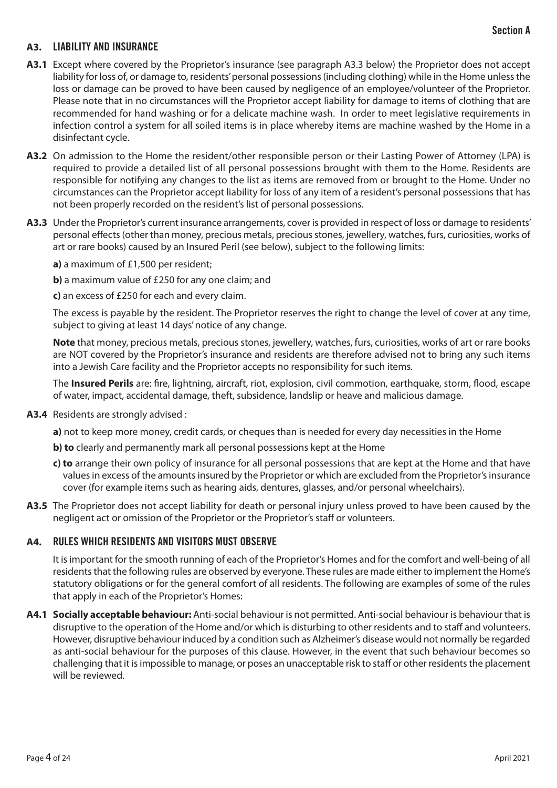## **A3.** LIABILITY AND INSURANCE

- **A3.1** Except where covered by the Proprietor's insurance (see paragraph A3.3 below) the Proprietor does not accept liability for loss of, or damage to, residents' personal possessions (including clothing) while in the Home unless the loss or damage can be proved to have been caused by negligence of an employee/volunteer of the Proprietor. Please note that in no circumstances will the Proprietor accept liability for damage to items of clothing that are recommended for hand washing or for a delicate machine wash. In order to meet legislative requirements in infection control a system for all soiled items is in place whereby items are machine washed by the Home in a disinfectant cycle.
- **A3.2** On admission to the Home the resident/other responsible person or their Lasting Power of Attorney (LPA) is required to provide a detailed list of all personal possessions brought with them to the Home. Residents are responsible for notifying any changes to the list as items are removed from or brought to the Home. Under no circumstances can the Proprietor accept liability for loss of any item of a resident's personal possessions that has not been properly recorded on the resident's list of personal possessions.
- **A3.3** Under the Proprietor's current insurance arrangements, cover is provided in respect of loss or damage to residents' personal effects (other than money, precious metals, precious stones, jewellery, watches, furs, curiosities, works of art or rare books) caused by an Insured Peril (see below), subject to the following limits:

**a)** a maximum of £1,500 per resident;

**b**) a maximum value of £250 for any one claim; and

**c)** an excess of £250 for each and every claim.

The excess is payable by the resident. The Proprietor reserves the right to change the level of cover at any time, subject to giving at least 14 days' notice of any change.

**Note** that money, precious metals, precious stones, jewellery, watches, furs, curiosities, works of art or rare books are NOT covered by the Proprietor's insurance and residents are therefore advised not to bring any such items into a Jewish Care facility and the Proprietor accepts no responsibility for such items.

The **Insured Perils** are: fire, lightning, aircraft, riot, explosion, civil commotion, earthquake, storm, flood, escape of water, impact, accidental damage, theft, subsidence, landslip or heave and malicious damage.

- **A3.4** Residents are strongly advised :
	- **a)** not to keep more money, credit cards, or cheques than is needed for every day necessities in the Home
	- **b) to** clearly and permanently mark all personal possessions kept at the Home
	- **c) to** arrange their own policy of insurance for all personal possessions that are kept at the Home and that have values in excess of the amounts insured by the Proprietor or which are excluded from the Proprietor's insurance cover (for example items such as hearing aids, dentures, glasses, and/or personal wheelchairs).
- **A3.5** The Proprietor does not accept liability for death or personal injury unless proved to have been caused by the negligent act or omission of the Proprietor or the Proprietor's staff or volunteers.

#### **A4.** RULES WHICH RESIDENTS AND VISITORS MUST OBSERVE

It is important for the smooth running of each of the Proprietor's Homes and for the comfort and well-being of all residents that the following rules are observed by everyone. These rules are made either to implement the Home's statutory obligations or for the general comfort of all residents. The following are examples of some of the rules that apply in each of the Proprietor's Homes:

**A4.1 Socially acceptable behaviour:** Anti-social behaviour is not permitted. Anti-social behaviour is behaviour that is disruptive to the operation of the Home and/or which is disturbing to other residents and to staff and volunteers. However, disruptive behaviour induced by a condition such as Alzheimer's disease would not normally be regarded as anti-social behaviour for the purposes of this clause. However, in the event that such behaviour becomes so challenging that it is impossible to manage, or poses an unacceptable risk to staff or other residents the placement will be reviewed.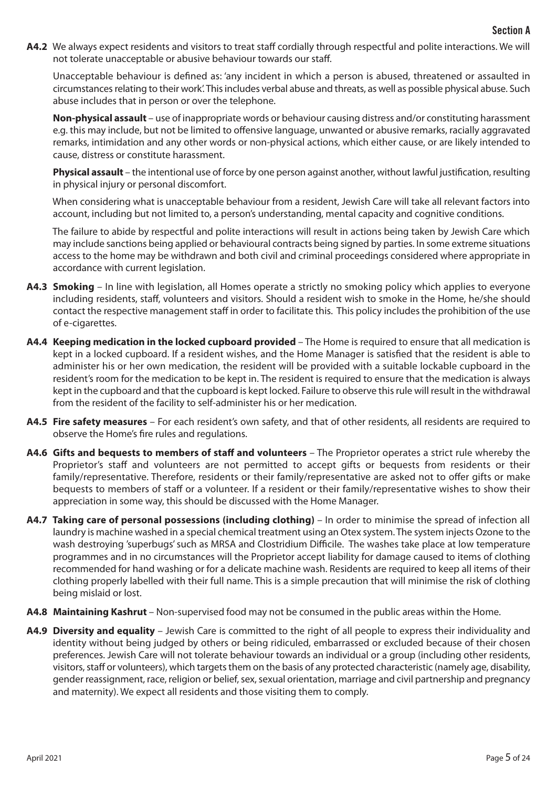**A4.2** We always expect residents and visitors to treat staff cordially through respectful and polite interactions. We will not tolerate unacceptable or abusive behaviour towards our staff.

Unacceptable behaviour is defined as: 'any incident in which a person is abused, threatened or assaulted in circumstances relating to their work'. This includes verbal abuse and threats, as well as possible physical abuse. Such abuse includes that in person or over the telephone.

**Non-physical assault** – use of inappropriate words or behaviour causing distress and/or constituting harassment e.g. this may include, but not be limited to offensive language, unwanted or abusive remarks, racially aggravated remarks, intimidation and any other words or non-physical actions, which either cause, or are likely intended to cause, distress or constitute harassment.

**Physical assault** – the intentional use of force by one person against another, without lawful justification, resulting in physical injury or personal discomfort.

When considering what is unacceptable behaviour from a resident, Jewish Care will take all relevant factors into account, including but not limited to, a person's understanding, mental capacity and cognitive conditions.

The failure to abide by respectful and polite interactions will result in actions being taken by Jewish Care which may include sanctions being applied or behavioural contracts being signed by parties. In some extreme situations access to the home may be withdrawn and both civil and criminal proceedings considered where appropriate in accordance with current legislation.

- **A4.3 Smoking** In line with legislation, all Homes operate a strictly no smoking policy which applies to everyone including residents, staff, volunteers and visitors. Should a resident wish to smoke in the Home, he/she should contact the respective management staff in order to facilitate this. This policy includes the prohibition of the use of e-cigarettes.
- **A4.4 Keeping medication in the locked cupboard provided** The Home is required to ensure that all medication is kept in a locked cupboard. If a resident wishes, and the Home Manager is satisfied that the resident is able to administer his or her own medication, the resident will be provided with a suitable lockable cupboard in the resident's room for the medication to be kept in. The resident is required to ensure that the medication is always kept in the cupboard and that the cupboard is kept locked. Failure to observe this rule will result in the withdrawal from the resident of the facility to self-administer his or her medication.
- **A4.5 Fire safety measures** For each resident's own safety, and that of other residents, all residents are required to observe the Home's fire rules and regulations.
- **A4.6 Gifts and bequests to members of staff and volunteers** The Proprietor operates a strict rule whereby the Proprietor's staff and volunteers are not permitted to accept gifts or bequests from residents or their family/representative. Therefore, residents or their family/representative are asked not to offer gifts or make bequests to members of staff or a volunteer. If a resident or their family/representative wishes to show their appreciation in some way, this should be discussed with the Home Manager.
- **A4.7 Taking care of personal possessions (including clothing) In order to minimise the spread of infection all** laundry is machine washed in a special chemical treatment using an Otex system. The system injects Ozone to the wash destroying 'superbugs' such as MRSA and Clostridium Difficile. The washes take place at low temperature programmes and in no circumstances will the Proprietor accept liability for damage caused to items of clothing recommended for hand washing or for a delicate machine wash. Residents are required to keep all items of their clothing properly labelled with their full name. This is a simple precaution that will minimise the risk of clothing being mislaid or lost.
- **A4.8 Maintaining Kashrut**  Non-supervised food may not be consumed in the public areas within the Home.
- **A4.9 Diversity and equality** Jewish Care is committed to the right of all people to express their individuality and identity without being judged by others or being ridiculed, embarrassed or excluded because of their chosen preferences. Jewish Care will not tolerate behaviour towards an individual or a group (including other residents, visitors, staff or volunteers), which targets them on the basis of any protected characteristic (namely age, disability, gender reassignment, race, religion or belief, sex, sexual orientation, marriage and civil partnership and pregnancy and maternity). We expect all residents and those visiting them to comply.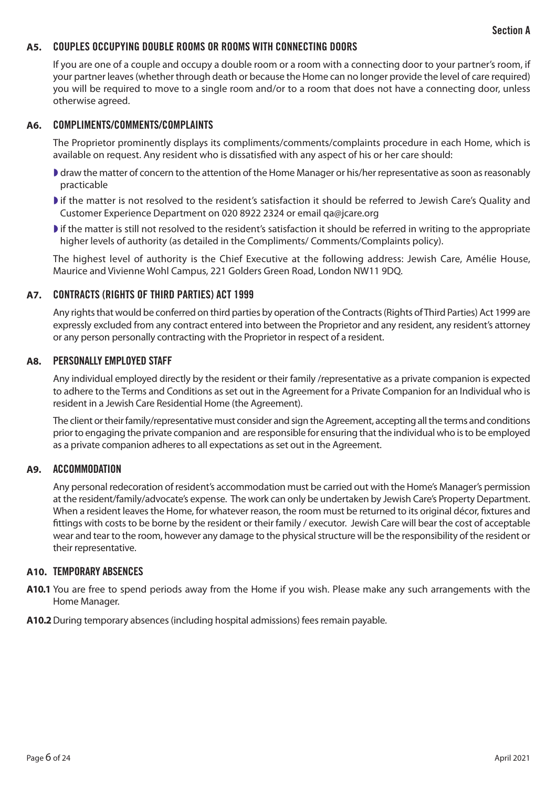# **A5.** COUPLES OCCUPYING DOUBLE ROOMS OR ROOMS WITH CONNECTING DOORS

If you are one of a couple and occupy a double room or a room with a connecting door to your partner's room, if your partner leaves (whether through death or because the Home can no longer provide the level of care required) you will be required to move to a single room and/or to a room that does not have a connecting door, unless otherwise agreed.

## **A6.** COMPLIMENTS/COMMENTS/COMPLAINTS

The Proprietor prominently displays its compliments/comments/complaints procedure in each Home, which is available on request. Any resident who is dissatisfied with any aspect of his or her care should:

- ◗ draw the matter of concern to the attention of the Home Manager or his/her representative as soon as reasonably practicable
- ◗ if the matter is not resolved to the resident's satisfaction it should be referred to Jewish Care's Quality and Customer Experience Department on 020 8922 2324 or email qa@jcare.org
- ◗ if the matter is still not resolved to the resident's satisfaction it should be referred in writing to the appropriate higher levels of authority (as detailed in the Compliments/ Comments/Complaints policy).

The highest level of authority is the Chief Executive at the following address: Jewish Care, Amélie House, Maurice and Vivienne Wohl Campus, 221 Golders Green Road, London NW11 9DQ.

## **A7.** CONTRACTS (RIGHTS OF THIRD PARTIES) ACT 1999

Any rights that would be conferred on third parties by operation of the Contracts (Rights of Third Parties) Act 1999 are expressly excluded from any contract entered into between the Proprietor and any resident, any resident's attorney or any person personally contracting with the Proprietor in respect of a resident.

#### **A8.** PERSONALLY EMPLOYED STAFF

Any individual employed directly by the resident or their family /representative as a private companion is expected to adhere to the Terms and Conditions as set out in the Agreement for a Private Companion for an Individual who is resident in a Jewish Care Residential Home (the Agreement).

The client or their family/representative must consider and sign the Agreement, accepting all the terms and conditions prior to engaging the private companion and are responsible for ensuring that the individual who is to be employed as a private companion adheres to all expectations as set out in the Agreement.

#### **A9.** ACCOMMODATION

Any personal redecoration of resident's accommodation must be carried out with the Home's Manager's permission at the resident/family/advocate's expense. The work can only be undertaken by Jewish Care's Property Department. When a resident leaves the Home, for whatever reason, the room must be returned to its original décor, fixtures and fittings with costs to be borne by the resident or their family / executor. Jewish Care will bear the cost of acceptable wear and tear to the room, however any damage to the physical structure will be the responsibility of the resident or their representative.

#### **A10.** TEMPORARY ABSENCES

- **A10.1** You are free to spend periods away from the Home if you wish. Please make any such arrangements with the Home Manager.
- **A10.2**During temporary absences (including hospital admissions) fees remain payable.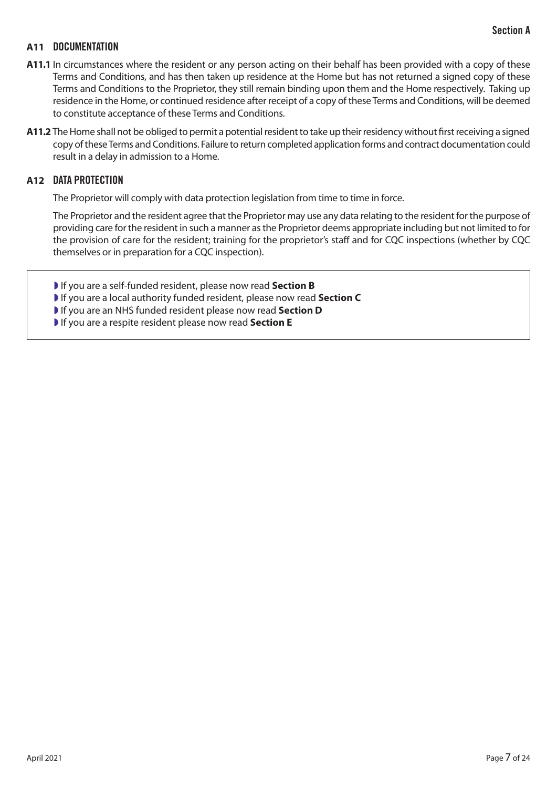## Section A

## **A11** DOCUMENTATION

- **A11.1** In circumstances where the resident or any person acting on their behalf has been provided with a copy of these Terms and Conditions, and has then taken up residence at the Home but has not returned a signed copy of these Terms and Conditions to the Proprietor, they still remain binding upon them and the Home respectively. Taking up residence in the Home, or continued residence after receipt of a copy of these Terms and Conditions, will be deemed to constitute acceptance of these Terms and Conditions.
- **A11.2** The Home shall not be obliged to permit a potential resident to take up their residency without first receiving a signed copy of these Terms and Conditions. Failure to return completed application forms and contract documentation could result in a delay in admission to a Home.

#### **A12** DATA PROTECTION

The Proprietor will comply with data protection legislation from time to time in force.

The Proprietor and the resident agree that the Proprietor may use any data relating to the resident for the purpose of providing care for the resident in such a manner as the Proprietor deems appropriate including but not limited to for the provision of care for the resident; training for the proprietor's staff and for CQC inspections (whether by CQC themselves or in preparation for a CQC inspection).

- ◗ If you are a self-funded resident, please now read **Section B**
- ◗ If you are a local authority funded resident, please now read **Section C**
- ◗ If you are an NHS funded resident please now read **Section D**
- ◗ If you are a respite resident please now read **Section E**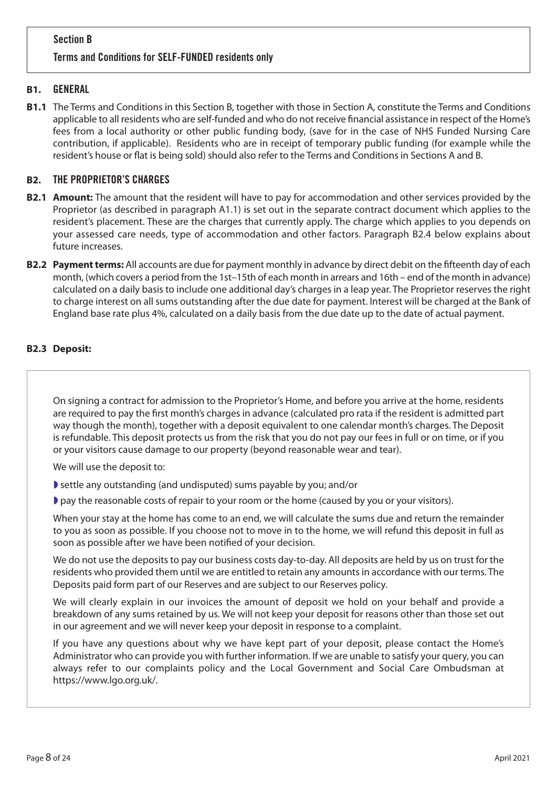# Section B Terms and Conditions for SELF-FUNDED residents only

# **B1.** GENERAL

**B1.1** The Terms and Conditions in this Section B, together with those in Section A, constitute the Terms and Conditions applicable to all residents who are self-funded and who do not receive financial assistance in respect of the Home's fees from a local authority or other public funding body, (save for in the case of NHS Funded Nursing Care contribution, if applicable). Residents who are in receipt of temporary public funding (for example while the resident's house or flat is being sold) should also refer to the Terms and Conditions in Sections A and B.

## **B2.** THE PROPRIETOR'S CHARGES

- **B2.1 Amount:** The amount that the resident will have to pay for accommodation and other services provided by the Proprietor (as described in paragraph A1.1) is set out in the separate contract document which applies to the resident's placement. These are the charges that currently apply. The charge which applies to you depends on your assessed care needs, type of accommodation and other factors. Paragraph B2.4 below explains about future increases.
- **B2.2 Payment terms:** All accounts are due for payment monthly in advance by direct debit on the fifteenth day of each month, (which covers a period from the 1st–15th of each month in arrears and 16th – end of the month in advance) calculated on a daily basis to include one additional day's charges in a leap year. The Proprietor reserves the right to charge interest on all sums outstanding after the due date for payment. Interest will be charged at the Bank of England base rate plus 4%, calculated on a daily basis from the due date up to the date of actual payment.

## **B2.3 Deposit:**

On signing a contract for admission to the Proprietor's Home, and before you arrive at the home, residents are required to pay the first month's charges in advance (calculated pro rata if the resident is admitted part way though the month), together with a deposit equivalent to one calendar month's charges. The Deposit is refundable. This deposit protects us from the risk that you do not pay our fees in full or on time, or if you or your visitors cause damage to our property (beyond reasonable wear and tear).

We will use the deposit to:

◗ settle any outstanding (and undisputed) sums payable by you; and/or

◗ pay the reasonable costs of repair to your room or the home (caused by you or your visitors).

When your stay at the home has come to an end, we will calculate the sums due and return the remainder to you as soon as possible. If you choose not to move in to the home, we will refund this deposit in full as soon as possible after we have been notified of your decision.

We do not use the deposits to pay our business costs day-to-day. All deposits are held by us on trust for the residents who provided them until we are entitled to retain any amounts in accordance with our terms. The Deposits paid form part of our Reserves and are subject to our Reserves policy.

We will clearly explain in our invoices the amount of deposit we hold on your behalf and provide a breakdown of any sums retained by us. We will not keep your deposit for reasons other than those set out in our agreement and we will never keep your deposit in response to a complaint.

If you have any questions about why we have kept part of your deposit, please contact the Home's Administrator who can provide you with further information. If we are unable to satisfy your query, you can always refer to our complaints policy and the Local Government and Social Care Ombudsman at https://www.lgo.org.uk/.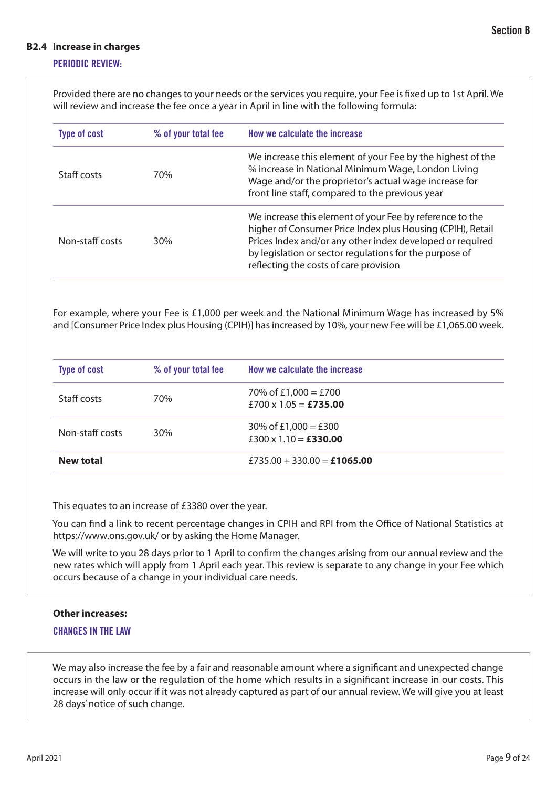#### **B2.4 Increase in charges**

## PERIODIC REVIEW:

Provided there are no changes to your needs or the services you require, your Fee is fixed up to 1st April. We will review and increase the fee once a year in April in line with the following formula:

| <b>Type of cost</b> | % of your total fee | How we calculate the increase                                                                                                                                                                                                                                                            |
|---------------------|---------------------|------------------------------------------------------------------------------------------------------------------------------------------------------------------------------------------------------------------------------------------------------------------------------------------|
| Staff costs         | 70%                 | We increase this element of your Fee by the highest of the<br>% increase in National Minimum Wage, London Living<br>Wage and/or the proprietor's actual wage increase for<br>front line staff, compared to the previous year                                                             |
| Non-staff costs     | 30%                 | We increase this element of your Fee by reference to the<br>higher of Consumer Price Index plus Housing (CPIH), Retail<br>Prices Index and/or any other index developed or required<br>by legislation or sector regulations for the purpose of<br>reflecting the costs of care provision |

For example, where your Fee is £1,000 per week and the National Minimum Wage has increased by 5% and [Consumer Price Index plus Housing (CPIH)] has increased by 10%, your new Fee will be £1,065.00 week.

| <b>Type of cost</b> | % of your total fee | How we calculate the increase                 |
|---------------------|---------------------|-----------------------------------------------|
| Staff costs         | 70%                 | 70% of £1,000 = £700<br>£700 x 1.05 = £735.00 |
| Non-staff costs     | 30%                 | 30% of £1,000 = £300<br>£300 x 1.10 = £330.00 |
| <b>New total</b>    |                     | £735.00 + 330.00 = £1065.00                   |

This equates to an increase of £3380 over the year.

You can find a link to recent percentage changes in CPIH and RPI from the Office of National Statistics at https://www.ons.gov.uk/ or by asking the Home Manager.

We will write to you 28 days prior to 1 April to confirm the changes arising from our annual review and the new rates which will apply from 1 April each year. This review is separate to any change in your Fee which occurs because of a change in your individual care needs.

#### **Other increases:**

#### CHANGES IN THE LAW

We may also increase the fee by a fair and reasonable amount where a significant and unexpected change occurs in the law or the regulation of the home which results in a significant increase in our costs. This increase will only occur if it was not already captured as part of our annual review. We will give you at least 28 days' notice of such change.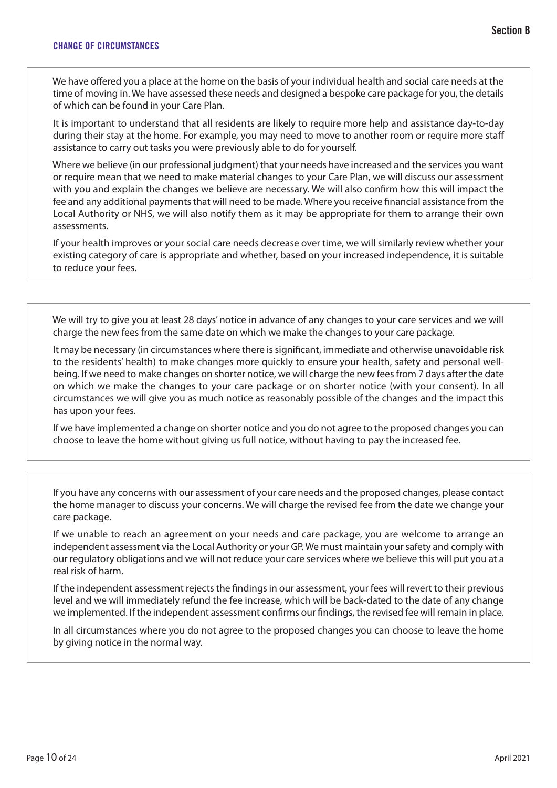We have offered you a place at the home on the basis of your individual health and social care needs at the time of moving in. We have assessed these needs and designed a bespoke care package for you, the details of which can be found in your Care Plan.

It is important to understand that all residents are likely to require more help and assistance day-to-day during their stay at the home. For example, you may need to move to another room or require more staff assistance to carry out tasks you were previously able to do for yourself.

Where we believe (in our professional judgment) that your needs have increased and the services you want or require mean that we need to make material changes to your Care Plan, we will discuss our assessment with you and explain the changes we believe are necessary. We will also confirm how this will impact the fee and any additional payments that will need to be made. Where you receive financial assistance from the Local Authority or NHS, we will also notify them as it may be appropriate for them to arrange their own assessments.

If your health improves or your social care needs decrease over time, we will similarly review whether your existing category of care is appropriate and whether, based on your increased independence, it is suitable to reduce your fees.

We will try to give you at least 28 days' notice in advance of any changes to your care services and we will charge the new fees from the same date on which we make the changes to your care package.

It may be necessary (in circumstances where there is significant, immediate and otherwise unavoidable risk to the residents' health) to make changes more quickly to ensure your health, safety and personal wellbeing. If we need to make changes on shorter notice, we will charge the new fees from 7 days after the date on which we make the changes to your care package or on shorter notice (with your consent). In all circumstances we will give you as much notice as reasonably possible of the changes and the impact this has upon your fees.

If we have implemented a change on shorter notice and you do not agree to the proposed changes you can choose to leave the home without giving us full notice, without having to pay the increased fee.

If you have any concerns with our assessment of your care needs and the proposed changes, please contact the home manager to discuss your concerns. We will charge the revised fee from the date we change your care package.

If we unable to reach an agreement on your needs and care package, you are welcome to arrange an independent assessment via the Local Authority or your GP. We must maintain your safety and comply with our regulatory obligations and we will not reduce your care services where we believe this will put you at a real risk of harm.

If the independent assessment rejects the findings in our assessment, your fees will revert to their previous level and we will immediately refund the fee increase, which will be back-dated to the date of any change we implemented. If the independent assessment confirms our findings, the revised fee will remain in place.

In all circumstances where you do not agree to the proposed changes you can choose to leave the home by giving notice in the normal way.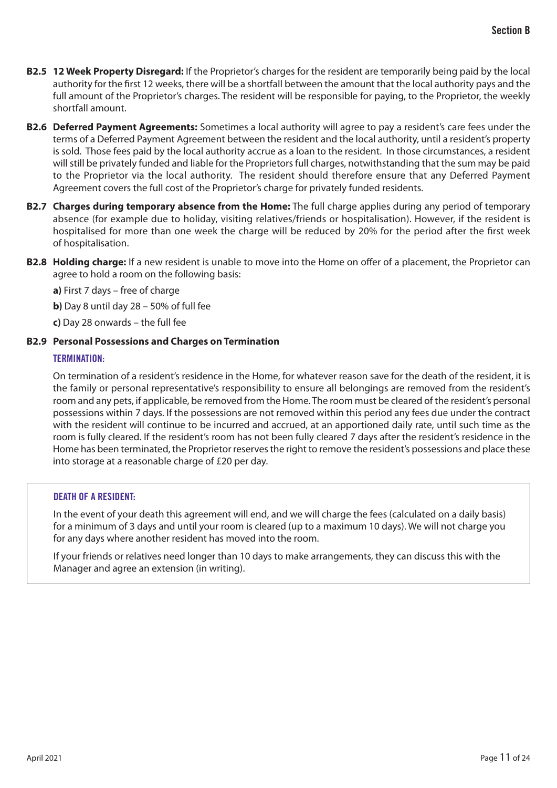- **B2.5 12 Week Property Disregard:** If the Proprietor's charges for the resident are temporarily being paid by the local authority for the first 12 weeks, there will be a shortfall between the amount that the local authority pays and the full amount of the Proprietor's charges. The resident will be responsible for paying, to the Proprietor, the weekly shortfall amount.
- **B2.6 Deferred Payment Agreements:** Sometimes a local authority will agree to pay a resident's care fees under the terms of a Deferred Payment Agreement between the resident and the local authority, until a resident's property is sold. Those fees paid by the local authority accrue as a loan to the resident. In those circumstances, a resident will still be privately funded and liable for the Proprietors full charges, notwithstanding that the sum may be paid to the Proprietor via the local authority. The resident should therefore ensure that any Deferred Payment Agreement covers the full cost of the Proprietor's charge for privately funded residents.
- **B2.7 Charges during temporary absence from the Home:** The full charge applies during any period of temporary absence (for example due to holiday, visiting relatives/friends or hospitalisation). However, if the resident is hospitalised for more than one week the charge will be reduced by 20% for the period after the first week of hospitalisation.
- **B2.8 Holding charge:** If a new resident is unable to move into the Home on offer of a placement, the Proprietor can agree to hold a room on the following basis:

**a)** First 7 days – free of charge

**b)** Day 8 until day 28 – 50% of full fee

**c)** Day 28 onwards – the full fee

## **B2.9 Personal Possessions and Charges on Termination**

## TERMINATION:

On termination of a resident's residence in the Home, for whatever reason save for the death of the resident, it is the family or personal representative's responsibility to ensure all belongings are removed from the resident's room and any pets, if applicable, be removed from the Home. The room must be cleared of the resident's personal possessions within 7 days. If the possessions are not removed within this period any fees due under the contract with the resident will continue to be incurred and accrued, at an apportioned daily rate, until such time as the room is fully cleared. If the resident's room has not been fully cleared 7 days after the resident's residence in the Home has been terminated, the Proprietor reserves the right to remove the resident's possessions and place these into storage at a reasonable charge of £20 per day.

#### DEATH OF A RESIDENT:

In the event of your death this agreement will end, and we will charge the fees (calculated on a daily basis) for a minimum of 3 days and until your room is cleared (up to a maximum 10 days). We will not charge you for any days where another resident has moved into the room.

If your friends or relatives need longer than 10 days to make arrangements, they can discuss this with the Manager and agree an extension (in writing).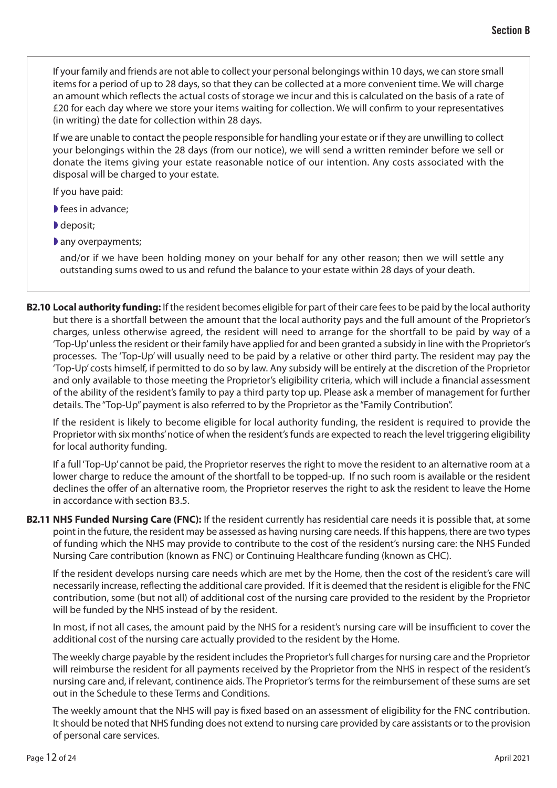If your family and friends are not able to collect your personal belongings within 10 days, we can store small items for a period of up to 28 days, so that they can be collected at a more convenient time. We will charge an amount which reflects the actual costs of storage we incur and this is calculated on the basis of a rate of £20 for each day where we store your items waiting for collection. We will confirm to your representatives (in writing) the date for collection within 28 days.

If we are unable to contact the people responsible for handling your estate or if they are unwilling to collect your belongings within the 28 days (from our notice), we will send a written reminder before we sell or donate the items giving your estate reasonable notice of our intention. Any costs associated with the disposal will be charged to your estate.

If you have paid:

- fees in advance;
- ◗ deposit;
- any overpayments;

and/or if we have been holding money on your behalf for any other reason; then we will settle any outstanding sums owed to us and refund the balance to your estate within 28 days of your death.

**B2.10 Local authority funding:** If the resident becomes eligible for part of their care fees to be paid by the local authority but there is a shortfall between the amount that the local authority pays and the full amount of the Proprietor's charges, unless otherwise agreed, the resident will need to arrange for the shortfall to be paid by way of a 'Top-Up' unless the resident or their family have applied for and been granted a subsidy in line with the Proprietor's processes. The 'Top-Up' will usually need to be paid by a relative or other third party. The resident may pay the 'Top-Up' costs himself, if permitted to do so by law. Any subsidy will be entirely at the discretion of the Proprietor and only available to those meeting the Proprietor's eligibility criteria, which will include a financial assessment of the ability of the resident's family to pay a third party top up. Please ask a member of management for further details. The "Top-Up" payment is also referred to by the Proprietor as the "Family Contribution".

If the resident is likely to become eligible for local authority funding, the resident is required to provide the Proprietor with six months' notice of when the resident's funds are expected to reach the level triggering eligibility for local authority funding.

If a full 'Top-Up' cannot be paid, the Proprietor reserves the right to move the resident to an alternative room at a lower charge to reduce the amount of the shortfall to be topped-up. If no such room is available or the resident declines the offer of an alternative room, the Proprietor reserves the right to ask the resident to leave the Home in accordance with section B3.5.

**B2.11 NHS Funded Nursing Care (FNC):** If the resident currently has residential care needs it is possible that, at some point in the future, the resident may be assessed as having nursing care needs. If this happens, there are two types of funding which the NHS may provide to contribute to the cost of the resident's nursing care: the NHS Funded Nursing Care contribution (known as FNC) or Continuing Healthcare funding (known as CHC).

If the resident develops nursing care needs which are met by the Home, then the cost of the resident's care will necessarily increase, reflecting the additional care provided. If it is deemed that the resident is eligible for the FNC contribution, some (but not all) of additional cost of the nursing care provided to the resident by the Proprietor will be funded by the NHS instead of by the resident.

In most, if not all cases, the amount paid by the NHS for a resident's nursing care will be insufficient to cover the additional cost of the nursing care actually provided to the resident by the Home.

The weekly charge payable by the resident includes the Proprietor's full charges for nursing care and the Proprietor will reimburse the resident for all payments received by the Proprietor from the NHS in respect of the resident's nursing care and, if relevant, continence aids. The Proprietor's terms for the reimbursement of these sums are set out in the Schedule to these Terms and Conditions.

The weekly amount that the NHS will pay is fixed based on an assessment of eligibility for the FNC contribution. It should be noted that NHS funding does not extend to nursing care provided by care assistants or to the provision of personal care services.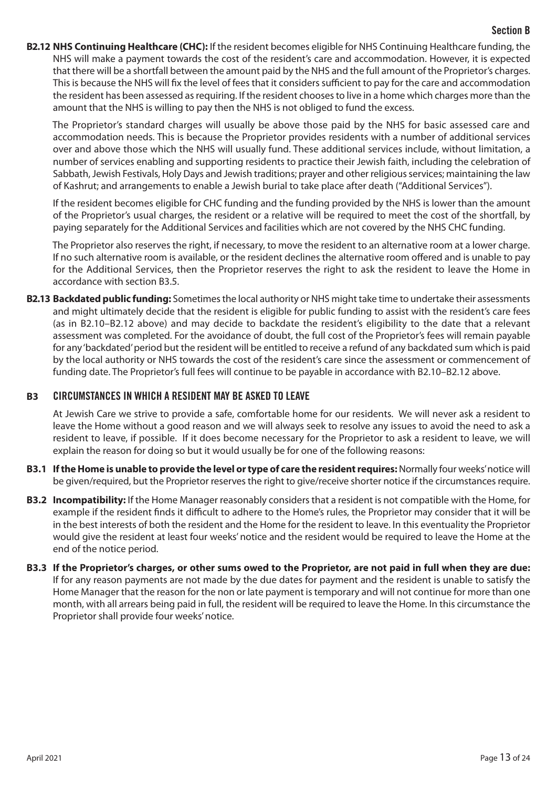## Section B

**B2.12 NHS Continuing Healthcare (CHC):** If the resident becomes eligible for NHS Continuing Healthcare funding, the NHS will make a payment towards the cost of the resident's care and accommodation. However, it is expected that there will be a shortfall between the amount paid by the NHS and the full amount of the Proprietor's charges. This is because the NHS will fix the level of fees that it considers sufficient to pay for the care and accommodation the resident has been assessed as requiring. If the resident chooses to live in a home which charges more than the amount that the NHS is willing to pay then the NHS is not obliged to fund the excess.

The Proprietor's standard charges will usually be above those paid by the NHS for basic assessed care and accommodation needs. This is because the Proprietor provides residents with a number of additional services over and above those which the NHS will usually fund. These additional services include, without limitation, a number of services enabling and supporting residents to practice their Jewish faith, including the celebration of Sabbath, Jewish Festivals, Holy Days and Jewish traditions; prayer and other religious services; maintaining the law of Kashrut; and arrangements to enable a Jewish burial to take place after death ("Additional Services").

If the resident becomes eligible for CHC funding and the funding provided by the NHS is lower than the amount of the Proprietor's usual charges, the resident or a relative will be required to meet the cost of the shortfall, by paying separately for the Additional Services and facilities which are not covered by the NHS CHC funding.

The Proprietor also reserves the right, if necessary, to move the resident to an alternative room at a lower charge. If no such alternative room is available, or the resident declines the alternative room offered and is unable to pay for the Additional Services, then the Proprietor reserves the right to ask the resident to leave the Home in accordance with section B3.5.

**B2.13 Backdated public funding:** Sometimes the local authority or NHS might take time to undertake their assessments and might ultimately decide that the resident is eligible for public funding to assist with the resident's care fees (as in B2.10–B2.12 above) and may decide to backdate the resident's eligibility to the date that a relevant assessment was completed. For the avoidance of doubt, the full cost of the Proprietor's fees will remain payable for any 'backdated' period but the resident will be entitled to receive a refund of any backdated sum which is paid by the local authority or NHS towards the cost of the resident's care since the assessment or commencement of funding date. The Proprietor's full fees will continue to be payable in accordance with B2.10–B2.12 above.

## **B3** CIRCUMSTANCES IN WHICH A RESIDENT MAY BE ASKED TO LEAVE

At Jewish Care we strive to provide a safe, comfortable home for our residents. We will never ask a resident to leave the Home without a good reason and we will always seek to resolve any issues to avoid the need to ask a resident to leave, if possible. If it does become necessary for the Proprietor to ask a resident to leave, we will explain the reason for doing so but it would usually be for one of the following reasons:

- **B3.1 If the Home is unable to provide the level or type of care the resident requires:** Normally four weeks' notice will be given/required, but the Proprietor reserves the right to give/receive shorter notice if the circumstances require.
- **B3.2 Incompatibility:** If the Home Manager reasonably considers that a resident is not compatible with the Home, for example if the resident finds it difficult to adhere to the Home's rules, the Proprietor may consider that it will be in the best interests of both the resident and the Home for the resident to leave. In this eventuality the Proprietor would give the resident at least four weeks' notice and the resident would be required to leave the Home at the end of the notice period.
- **B3.3 If the Proprietor's charges, or other sums owed to the Proprietor, are not paid in full when they are due:**  If for any reason payments are not made by the due dates for payment and the resident is unable to satisfy the Home Manager that the reason for the non or late payment is temporary and will not continue for more than one month, with all arrears being paid in full, the resident will be required to leave the Home. In this circumstance the Proprietor shall provide four weeks' notice.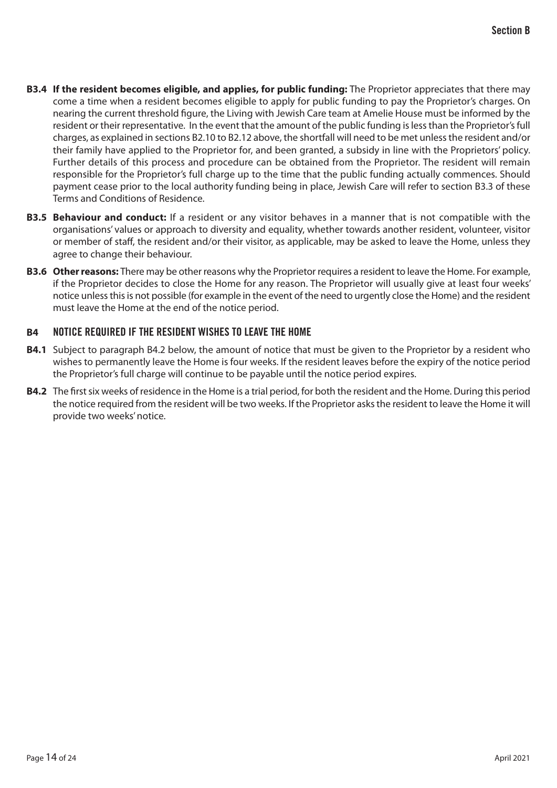- **B3.4 If the resident becomes eligible, and applies, for public funding:** The Proprietor appreciates that there may come a time when a resident becomes eligible to apply for public funding to pay the Proprietor's charges. On nearing the current threshold figure, the Living with Jewish Care team at Amelie House must be informed by the resident or their representative. In the event that the amount of the public funding is less than the Proprietor's full charges, as explained in sections B2.10 to B2.12 above, the shortfall will need to be met unless the resident and/or their family have applied to the Proprietor for, and been granted, a subsidy in line with the Proprietors' policy. Further details of this process and procedure can be obtained from the Proprietor. The resident will remain responsible for the Proprietor's full charge up to the time that the public funding actually commences. Should payment cease prior to the local authority funding being in place, Jewish Care will refer to section B3.3 of these Terms and Conditions of Residence.
- **B3.5 Behaviour and conduct:** If a resident or any visitor behaves in a manner that is not compatible with the organisations' values or approach to diversity and equality, whether towards another resident, volunteer, visitor or member of staff, the resident and/or their visitor, as applicable, may be asked to leave the Home, unless they agree to change their behaviour.
- **B3.6 Other reasons:** There may be other reasons why the Proprietor requires a resident to leave the Home. For example, if the Proprietor decides to close the Home for any reason. The Proprietor will usually give at least four weeks' notice unless this is not possible (for example in the event of the need to urgently close the Home) and the resident must leave the Home at the end of the notice period.

# **B4** NOTICE REQUIRED IF THE RESIDENT WISHES TO LEAVE THE HOME

- **B4.1** Subject to paragraph B4.2 below, the amount of notice that must be given to the Proprietor by a resident who wishes to permanently leave the Home is four weeks. If the resident leaves before the expiry of the notice period the Proprietor's full charge will continue to be payable until the notice period expires.
- **B4.2** The first six weeks of residence in the Home is a trial period, for both the resident and the Home. During this period the notice required from the resident will be two weeks. If the Proprietor asks the resident to leave the Home it will provide two weeks' notice.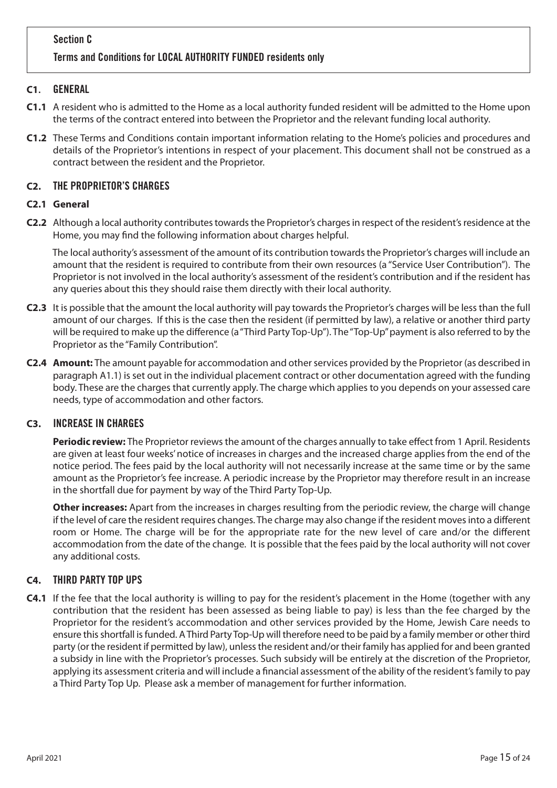# **C1**. GENERAL

- **C1.1** A resident who is admitted to the Home as a local authority funded resident will be admitted to the Home upon the terms of the contract entered into between the Proprietor and the relevant funding local authority.
- **C1.2** These Terms and Conditions contain important information relating to the Home's policies and procedures and details of the Proprietor's intentions in respect of your placement. This document shall not be construed as a contract between the resident and the Proprietor.

# **C2.** THE PROPRIETOR'S CHARGES

## **C2.1 General**

**C2.2** Although a local authority contributes towards the Proprietor's charges in respect of the resident's residence at the Home, you may find the following information about charges helpful.

The local authority's assessment of the amount of its contribution towards the Proprietor's charges will include an amount that the resident is required to contribute from their own resources (a "Service User Contribution"). The Proprietor is not involved in the local authority's assessment of the resident's contribution and if the resident has any queries about this they should raise them directly with their local authority.

- **C2.3** It is possible that the amount the local authority will pay towards the Proprietor's charges will be less than the full amount of our charges. If this is the case then the resident (if permitted by law), a relative or another third party will be required to make up the difference (a "Third Party Top-Up"). The "Top-Up" payment is also referred to by the Proprietor as the "Family Contribution".
- **C2.4 Amount:** The amount payable for accommodation and other services provided by the Proprietor (as described in paragraph A1.1) is set out in the individual placement contract or other documentation agreed with the funding body. These are the charges that currently apply. The charge which applies to you depends on your assessed care needs, type of accommodation and other factors.

## **C3.** INCREASE IN CHARGES

**Periodic review:** The Proprietor reviews the amount of the charges annually to take effect from 1 April. Residents are given at least four weeks' notice of increases in charges and the increased charge applies from the end of the notice period. The fees paid by the local authority will not necessarily increase at the same time or by the same amount as the Proprietor's fee increase. A periodic increase by the Proprietor may therefore result in an increase in the shortfall due for payment by way of the Third Party Top-Up.

**Other increases:** Apart from the increases in charges resulting from the periodic review, the charge will change if the level of care the resident requires changes. The charge may also change if the resident moves into a different room or Home. The charge will be for the appropriate rate for the new level of care and/or the different accommodation from the date of the change. It is possible that the fees paid by the local authority will not cover any additional costs.

# **C4.** THIRD PARTY TOP UPS

**C4.1** If the fee that the local authority is willing to pay for the resident's placement in the Home (together with any contribution that the resident has been assessed as being liable to pay) is less than the fee charged by the Proprietor for the resident's accommodation and other services provided by the Home, Jewish Care needs to ensure this shortfall is funded. A Third Party Top-Up will therefore need to be paid by a family member or other third party (or the resident if permitted by law), unless the resident and/or their family has applied for and been granted a subsidy in line with the Proprietor's processes. Such subsidy will be entirely at the discretion of the Proprietor, applying its assessment criteria and will include a financial assessment of the ability of the resident's family to pay a Third Party Top Up. Please ask a member of management for further information.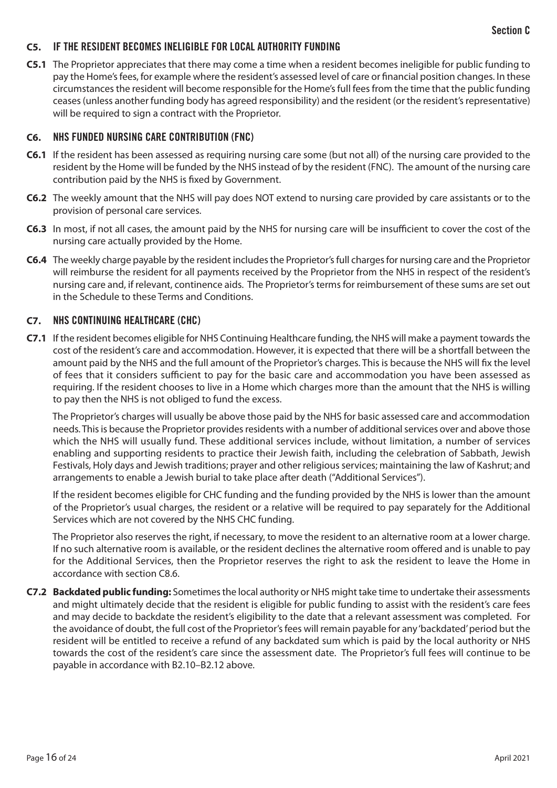## **C5.** IF THE RESIDENT BECOMES INELIGIBLE FOR LOCAL AUTHORITY FUNDING

**C5.1** The Proprietor appreciates that there may come a time when a resident becomes ineligible for public funding to pay the Home's fees, for example where the resident's assessed level of care or financial position changes. In these circumstances the resident will become responsible for the Home's full fees from the time that the public funding ceases (unless another funding body has agreed responsibility) and the resident (or the resident's representative) will be required to sign a contract with the Proprietor.

#### **C6.** NHS FUNDED NURSING CARE CONTRIBUTION (FNC)

- **C6.1** If the resident has been assessed as requiring nursing care some (but not all) of the nursing care provided to the resident by the Home will be funded by the NHS instead of by the resident (FNC). The amount of the nursing care contribution paid by the NHS is fixed by Government.
- **C6.2** The weekly amount that the NHS will pay does NOT extend to nursing care provided by care assistants or to the provision of personal care services.
- **C6.3** In most, if not all cases, the amount paid by the NHS for nursing care will be insufficient to cover the cost of the nursing care actually provided by the Home.
- **C6.4** The weekly charge payable by the resident includes the Proprietor's full charges for nursing care and the Proprietor will reimburse the resident for all payments received by the Proprietor from the NHS in respect of the resident's nursing care and, if relevant, continence aids. The Proprietor's terms for reimbursement of these sums are set out in the Schedule to these Terms and Conditions.

## **C7.** NHS CONTINUING HEALTHCARE (CHC)

**C7.1** If the resident becomes eligible for NHS Continuing Healthcare funding, the NHS will make a payment towards the cost of the resident's care and accommodation. However, it is expected that there will be a shortfall between the amount paid by the NHS and the full amount of the Proprietor's charges. This is because the NHS will fix the level of fees that it considers sufficient to pay for the basic care and accommodation you have been assessed as requiring. If the resident chooses to live in a Home which charges more than the amount that the NHS is willing to pay then the NHS is not obliged to fund the excess.

The Proprietor's charges will usually be above those paid by the NHS for basic assessed care and accommodation needs. This is because the Proprietor provides residents with a number of additional services over and above those which the NHS will usually fund. These additional services include, without limitation, a number of services enabling and supporting residents to practice their Jewish faith, including the celebration of Sabbath, Jewish Festivals, Holy days and Jewish traditions; prayer and other religious services; maintaining the law of Kashrut; and arrangements to enable a Jewish burial to take place after death ("Additional Services").

If the resident becomes eligible for CHC funding and the funding provided by the NHS is lower than the amount of the Proprietor's usual charges, the resident or a relative will be required to pay separately for the Additional Services which are not covered by the NHS CHC funding.

The Proprietor also reserves the right, if necessary, to move the resident to an alternative room at a lower charge. If no such alternative room is available, or the resident declines the alternative room offered and is unable to pay for the Additional Services, then the Proprietor reserves the right to ask the resident to leave the Home in accordance with section C8.6.

**C7.2 Backdated public funding:** Sometimes the local authority or NHS might take time to undertake their assessments and might ultimately decide that the resident is eligible for public funding to assist with the resident's care fees and may decide to backdate the resident's eligibility to the date that a relevant assessment was completed. For the avoidance of doubt, the full cost of the Proprietor's fees will remain payable for any 'backdated' period but the resident will be entitled to receive a refund of any backdated sum which is paid by the local authority or NHS towards the cost of the resident's care since the assessment date. The Proprietor's full fees will continue to be payable in accordance with B2.10–B2.12 above.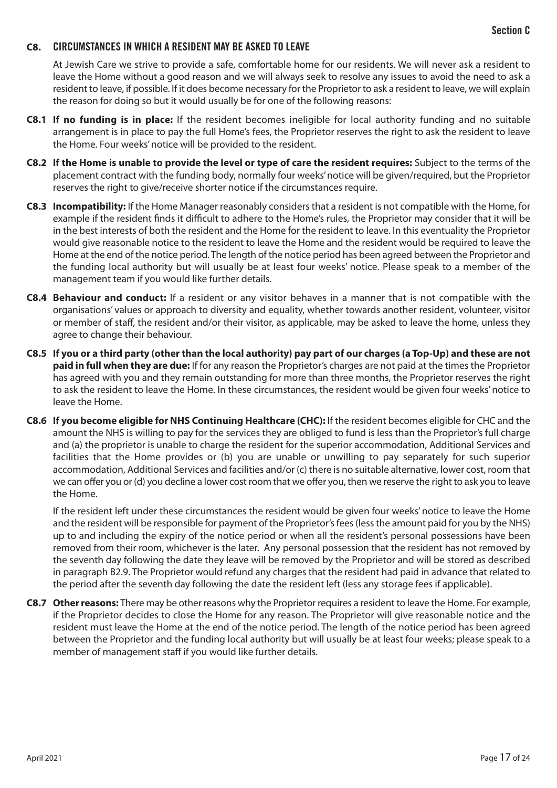#### **C8.** CIRCUMSTANCES IN WHICH A RESIDENT MAY BE ASKED TO LEAVE

At Jewish Care we strive to provide a safe, comfortable home for our residents. We will never ask a resident to leave the Home without a good reason and we will always seek to resolve any issues to avoid the need to ask a resident to leave, if possible. If it does become necessary for the Proprietor to ask a resident to leave, we will explain the reason for doing so but it would usually be for one of the following reasons:

- **C8.1 If no funding is in place:** If the resident becomes ineligible for local authority funding and no suitable arrangement is in place to pay the full Home's fees, the Proprietor reserves the right to ask the resident to leave the Home. Four weeks' notice will be provided to the resident.
- **C8.2 If the Home is unable to provide the level or type of care the resident requires:** Subject to the terms of the placement contract with the funding body, normally four weeks' notice will be given/required, but the Proprietor reserves the right to give/receive shorter notice if the circumstances require.
- **C8.3 Incompatibility:** If the Home Manager reasonably considers that a resident is not compatible with the Home, for example if the resident finds it difficult to adhere to the Home's rules, the Proprietor may consider that it will be in the best interests of both the resident and the Home for the resident to leave. In this eventuality the Proprietor would give reasonable notice to the resident to leave the Home and the resident would be required to leave the Home at the end of the notice period. The length of the notice period has been agreed between the Proprietor and the funding local authority but will usually be at least four weeks' notice. Please speak to a member of the management team if you would like further details.
- **C8.4 Behaviour and conduct:** If a resident or any visitor behaves in a manner that is not compatible with the organisations' values or approach to diversity and equality, whether towards another resident, volunteer, visitor or member of staff, the resident and/or their visitor, as applicable, may be asked to leave the home, unless they agree to change their behaviour.
- **C8.5 If you or a third party (other than the local authority) pay part of our charges (a Top-Up) and these are not paid in full when they are due:** If for any reason the Proprietor's charges are not paid at the times the Proprietor has agreed with you and they remain outstanding for more than three months, the Proprietor reserves the right to ask the resident to leave the Home. In these circumstances, the resident would be given four weeks' notice to leave the Home.
- **C8.6 If you become eligible for NHS Continuing Healthcare (CHC):** If the resident becomes eligible for CHC and the amount the NHS is willing to pay for the services they are obliged to fund is less than the Proprietor's full charge and (a) the proprietor is unable to charge the resident for the superior accommodation, Additional Services and facilities that the Home provides or (b) you are unable or unwilling to pay separately for such superior accommodation, Additional Services and facilities and/or (c) there is no suitable alternative, lower cost, room that we can offer you or (d) you decline a lower cost room that we offer you, then we reserve the right to ask you to leave the Home.

If the resident left under these circumstances the resident would be given four weeks' notice to leave the Home and the resident will be responsible for payment of the Proprietor's fees (less the amount paid for you by the NHS) up to and including the expiry of the notice period or when all the resident's personal possessions have been removed from their room, whichever is the later. Any personal possession that the resident has not removed by the seventh day following the date they leave will be removed by the Proprietor and will be stored as described in paragraph B2.9. The Proprietor would refund any charges that the resident had paid in advance that related to the period after the seventh day following the date the resident left (less any storage fees if applicable).

**C8.7 Other reasons:** There may be other reasons why the Proprietor requires a resident to leave the Home. For example, if the Proprietor decides to close the Home for any reason. The Proprietor will give reasonable notice and the resident must leave the Home at the end of the notice period. The length of the notice period has been agreed between the Proprietor and the funding local authority but will usually be at least four weeks; please speak to a member of management staff if you would like further details.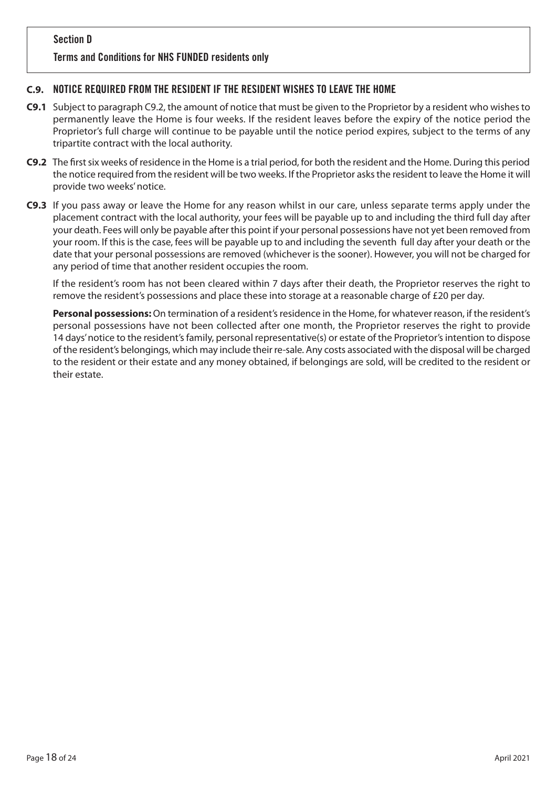## Terms and Conditions for NHS FUNDED residents only

## **C.9.** NOTICE REQUIRED FROM THE RESIDENT IF THE RESIDENT WISHES TO LEAVE THE HOME

- **C9.1** Subject to paragraph C9.2, the amount of notice that must be given to the Proprietor by a resident who wishes to permanently leave the Home is four weeks. If the resident leaves before the expiry of the notice period the Proprietor's full charge will continue to be payable until the notice period expires, subject to the terms of any tripartite contract with the local authority.
- **C9.2** The first six weeks of residence in the Home is a trial period, for both the resident and the Home. During this period the notice required from the resident will be two weeks. If the Proprietor asks the resident to leave the Home it will provide two weeks' notice.
- **C9.3** If you pass away or leave the Home for any reason whilst in our care, unless separate terms apply under the placement contract with the local authority, your fees will be payable up to and including the third full day after your death. Fees will only be payable after this point if your personal possessions have not yet been removed from your room. If this is the case, fees will be payable up to and including the seventh full day after your death or the date that your personal possessions are removed (whichever is the sooner). However, you will not be charged for any period of time that another resident occupies the room.

If the resident's room has not been cleared within 7 days after their death, the Proprietor reserves the right to remove the resident's possessions and place these into storage at a reasonable charge of £20 per day.

**Personal possessions:** On termination of a resident's residence in the Home, for whatever reason, if the resident's personal possessions have not been collected after one month, the Proprietor reserves the right to provide 14 days' notice to the resident's family, personal representative(s) or estate of the Proprietor's intention to dispose of the resident's belongings, which may include their re-sale. Any costs associated with the disposal will be charged to the resident or their estate and any money obtained, if belongings are sold, will be credited to the resident or their estate.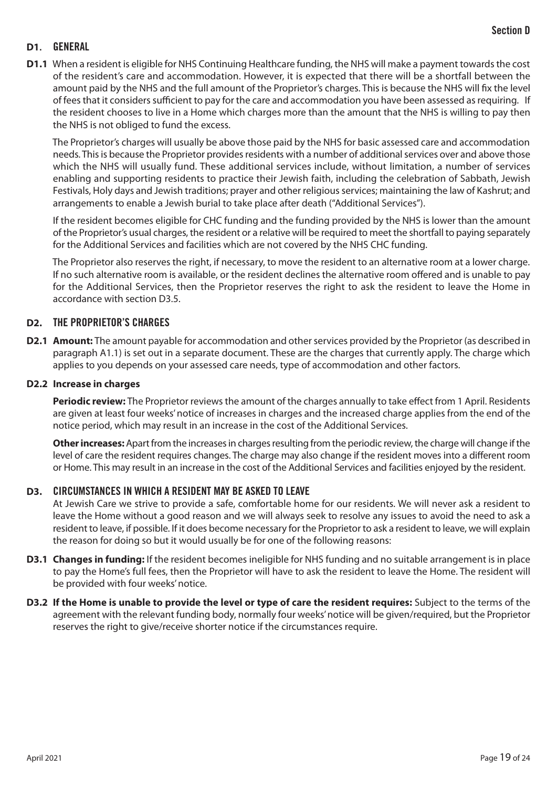## **D1**. GENERAL

**D1.1** When a resident is eligible for NHS Continuing Healthcare funding, the NHS will make a payment towards the cost of the resident's care and accommodation. However, it is expected that there will be a shortfall between the amount paid by the NHS and the full amount of the Proprietor's charges. This is because the NHS will fix the level of fees that it considers sufficient to pay for the care and accommodation you have been assessed as requiring. If the resident chooses to live in a Home which charges more than the amount that the NHS is willing to pay then the NHS is not obliged to fund the excess.

The Proprietor's charges will usually be above those paid by the NHS for basic assessed care and accommodation needs. This is because the Proprietor provides residents with a number of additional services over and above those which the NHS will usually fund. These additional services include, without limitation, a number of services enabling and supporting residents to practice their Jewish faith, including the celebration of Sabbath, Jewish Festivals, Holy days and Jewish traditions; prayer and other religious services; maintaining the law of Kashrut; and arrangements to enable a Jewish burial to take place after death ("Additional Services").

If the resident becomes eligible for CHC funding and the funding provided by the NHS is lower than the amount of the Proprietor's usual charges, the resident or a relative will be required to meet the shortfall to paying separately for the Additional Services and facilities which are not covered by the NHS CHC funding.

The Proprietor also reserves the right, if necessary, to move the resident to an alternative room at a lower charge. If no such alternative room is available, or the resident declines the alternative room offered and is unable to pay for the Additional Services, then the Proprietor reserves the right to ask the resident to leave the Home in accordance with section D3.5.

## **D2.** THE PROPRIETOR'S CHARGES

**D2.1 Amount:** The amount payable for accommodation and other services provided by the Proprietor (as described in paragraph A1.1) is set out in a separate document. These are the charges that currently apply. The charge which applies to you depends on your assessed care needs, type of accommodation and other factors.

#### **D2.2 Increase in charges**

**Periodic review:** The Proprietor reviews the amount of the charges annually to take effect from 1 April. Residents are given at least four weeks' notice of increases in charges and the increased charge applies from the end of the notice period, which may result in an increase in the cost of the Additional Services.

**Other increases:** Apart from the increases in charges resulting from the periodic review, the charge will change if the level of care the resident requires changes. The charge may also change if the resident moves into a different room or Home. This may result in an increase in the cost of the Additional Services and facilities enjoyed by the resident.

#### **D3.** CIRCUMSTANCES IN WHICH A RESIDENT MAY BE ASKED TO LEAVE

At Jewish Care we strive to provide a safe, comfortable home for our residents. We will never ask a resident to leave the Home without a good reason and we will always seek to resolve any issues to avoid the need to ask a resident to leave, if possible. If it does become necessary for the Proprietor to ask a resident to leave, we will explain the reason for doing so but it would usually be for one of the following reasons:

- **D3.1 Changes in funding:** If the resident becomes ineligible for NHS funding and no suitable arrangement is in place to pay the Home's full fees, then the Proprietor will have to ask the resident to leave the Home. The resident will be provided with four weeks' notice.
- **D3.2 If the Home is unable to provide the level or type of care the resident requires:** Subject to the terms of the agreement with the relevant funding body, normally four weeks' notice will be given/required, but the Proprietor reserves the right to give/receive shorter notice if the circumstances require.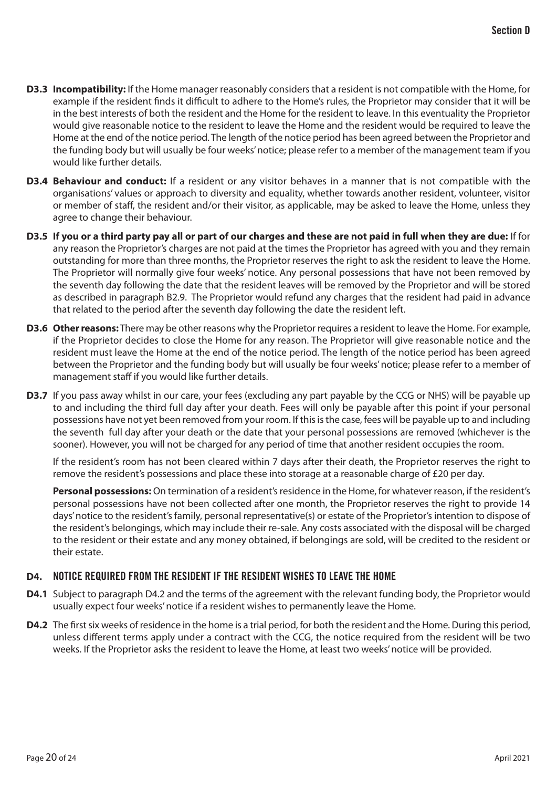- **D3.3 Incompatibility:** If the Home manager reasonably considers that a resident is not compatible with the Home, for example if the resident finds it difficult to adhere to the Home's rules, the Proprietor may consider that it will be in the best interests of both the resident and the Home for the resident to leave. In this eventuality the Proprietor would give reasonable notice to the resident to leave the Home and the resident would be required to leave the Home at the end of the notice period. The length of the notice period has been agreed between the Proprietor and the funding body but will usually be four weeks' notice; please refer to a member of the management team if you would like further details.
- **D3.4 Behaviour and conduct:** If a resident or any visitor behaves in a manner that is not compatible with the organisations' values or approach to diversity and equality, whether towards another resident, volunteer, visitor or member of staff, the resident and/or their visitor, as applicable, may be asked to leave the Home, unless they agree to change their behaviour.
- **D3.5 If you or a third party pay all or part of our charges and these are not paid in full when they are due:** If for any reason the Proprietor's charges are not paid at the times the Proprietor has agreed with you and they remain outstanding for more than three months, the Proprietor reserves the right to ask the resident to leave the Home. The Proprietor will normally give four weeks' notice. Any personal possessions that have not been removed by the seventh day following the date that the resident leaves will be removed by the Proprietor and will be stored as described in paragraph B2.9. The Proprietor would refund any charges that the resident had paid in advance that related to the period after the seventh day following the date the resident left.
- **D3.6 Other reasons:** There may be other reasons why the Proprietor requires a resident to leave the Home. For example, if the Proprietor decides to close the Home for any reason. The Proprietor will give reasonable notice and the resident must leave the Home at the end of the notice period. The length of the notice period has been agreed between the Proprietor and the funding body but will usually be four weeks' notice; please refer to a member of management staff if you would like further details.
- **D3.7** If you pass away whilst in our care, your fees (excluding any part payable by the CCG or NHS) will be payable up to and including the third full day after your death. Fees will only be payable after this point if your personal possessions have not yet been removed from your room. If this is the case, fees will be payable up to and including the seventh full day after your death or the date that your personal possessions are removed (whichever is the sooner). However, you will not be charged for any period of time that another resident occupies the room.

If the resident's room has not been cleared within 7 days after their death, the Proprietor reserves the right to remove the resident's possessions and place these into storage at a reasonable charge of £20 per day.

**Personal possessions:** On termination of a resident's residence in the Home, for whatever reason, if the resident's personal possessions have not been collected after one month, the Proprietor reserves the right to provide 14 days' notice to the resident's family, personal representative(s) or estate of the Proprietor's intention to dispose of the resident's belongings, which may include their re-sale. Any costs associated with the disposal will be charged to the resident or their estate and any money obtained, if belongings are sold, will be credited to the resident or their estate.

## **D4.** NOTICE REQUIRED FROM THE RESIDENT IF THE RESIDENT WISHES TO LEAVE THE HOME

- **D4.1** Subject to paragraph D4.2 and the terms of the agreement with the relevant funding body, the Proprietor would usually expect four weeks' notice if a resident wishes to permanently leave the Home.
- **D4.2** The first six weeks of residence in the home is a trial period, for both the resident and the Home. During this period, unless different terms apply under a contract with the CCG, the notice required from the resident will be two weeks. If the Proprietor asks the resident to leave the Home, at least two weeks' notice will be provided.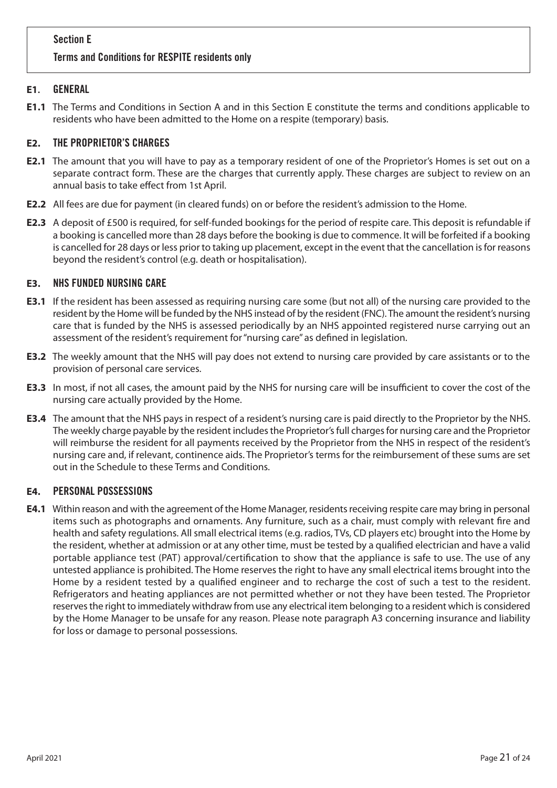# Section E Terms and Conditions for RESPITE residents only

# **E1**. GENERAL

**E1.1** The Terms and Conditions in Section A and in this Section E constitute the terms and conditions applicable to residents who have been admitted to the Home on a respite (temporary) basis.

# **E2.** THE PROPRIETOR'S CHARGES

- **E2.1** The amount that you will have to pay as a temporary resident of one of the Proprietor's Homes is set out on a separate contract form. These are the charges that currently apply. These charges are subject to review on an annual basis to take effect from 1st April.
- **E2.2** All fees are due for payment (in cleared funds) on or before the resident's admission to the Home.
- **E2.3** A deposit of £500 is required, for self-funded bookings for the period of respite care. This deposit is refundable if a booking is cancelled more than 28 days before the booking is due to commence. It will be forfeited if a booking is cancelled for 28 days or less prior to taking up placement, except in the event that the cancellation is for reasons beyond the resident's control (e.g. death or hospitalisation).

# **E3.** NHS FUNDED NURSING CARE

- **E3.1** If the resident has been assessed as requiring nursing care some (but not all) of the nursing care provided to the resident by the Home will be funded by the NHS instead of by the resident (FNC). The amount the resident's nursing care that is funded by the NHS is assessed periodically by an NHS appointed registered nurse carrying out an assessment of the resident's requirement for "nursing care" as defined in legislation.
- **E3.2** The weekly amount that the NHS will pay does not extend to nursing care provided by care assistants or to the provision of personal care services.
- **E3.3** In most, if not all cases, the amount paid by the NHS for nursing care will be insufficient to cover the cost of the nursing care actually provided by the Home.
- **E3.4** The amount that the NHS pays in respect of a resident's nursing care is paid directly to the Proprietor by the NHS. The weekly charge payable by the resident includes the Proprietor's full charges for nursing care and the Proprietor will reimburse the resident for all payments received by the Proprietor from the NHS in respect of the resident's nursing care and, if relevant, continence aids. The Proprietor's terms for the reimbursement of these sums are set out in the Schedule to these Terms and Conditions.

#### **E4.** PERSONAL POSSESSIONS

**E4.1** Within reason and with the agreement of the Home Manager, residents receiving respite care may bring in personal items such as photographs and ornaments. Any furniture, such as a chair, must comply with relevant fire and health and safety regulations. All small electrical items (e.g. radios, TVs, CD players etc) brought into the Home by the resident, whether at admission or at any other time, must be tested by a qualified electrician and have a valid portable appliance test (PAT) approval/certification to show that the appliance is safe to use. The use of any untested appliance is prohibited. The Home reserves the right to have any small electrical items brought into the Home by a resident tested by a qualified engineer and to recharge the cost of such a test to the resident. Refrigerators and heating appliances are not permitted whether or not they have been tested. The Proprietor reserves the right to immediately withdraw from use any electrical item belonging to a resident which is considered by the Home Manager to be unsafe for any reason. Please note paragraph A3 concerning insurance and liability for loss or damage to personal possessions.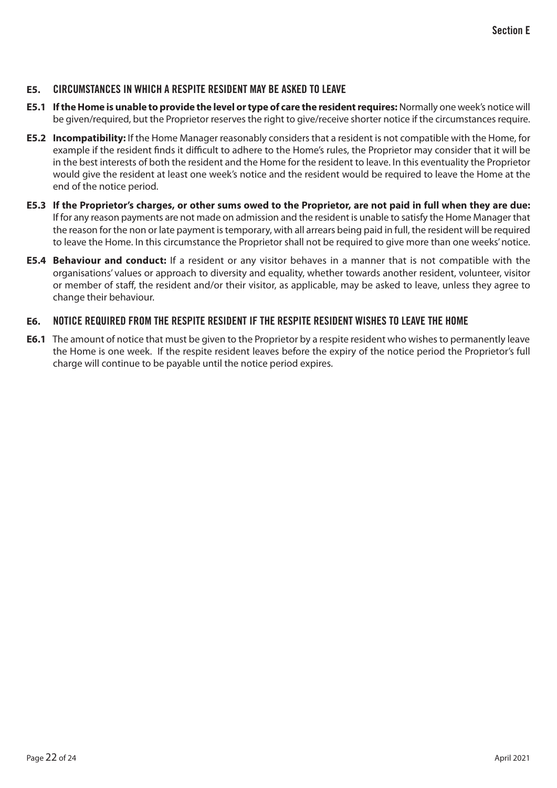#### **E5.** CIRCUMSTANCES IN WHICH A RESPITE RESIDENT MAY BE ASKED TO LEAVE

- **E5.1 If the Home is unable to provide the level or type of care the resident requires:** Normally one week's notice will be given/required, but the Proprietor reserves the right to give/receive shorter notice if the circumstances require.
- **E5.2 Incompatibility:** If the Home Manager reasonably considers that a resident is not compatible with the Home, for example if the resident finds it difficult to adhere to the Home's rules, the Proprietor may consider that it will be in the best interests of both the resident and the Home for the resident to leave. In this eventuality the Proprietor would give the resident at least one week's notice and the resident would be required to leave the Home at the end of the notice period.
- **E5.3 If the Proprietor's charges, or other sums owed to the Proprietor, are not paid in full when they are due:**  If for any reason payments are not made on admission and the resident is unable to satisfy the Home Manager that the reason for the non or late payment is temporary, with all arrears being paid in full, the resident will be required to leave the Home. In this circumstance the Proprietor shall not be required to give more than one weeks' notice.
- **E5.4 Behaviour and conduct:** If a resident or any visitor behaves in a manner that is not compatible with the organisations' values or approach to diversity and equality, whether towards another resident, volunteer, visitor or member of staff, the resident and/or their visitor, as applicable, may be asked to leave, unless they agree to change their behaviour.

## **E6.** NOTICE REQUIRED FROM THE RESPITE RESIDENT IF THE RESPITE RESIDENT WISHES TO LEAVE THE HOME

**E6.1** The amount of notice that must be given to the Proprietor by a respite resident who wishes to permanently leave the Home is one week. If the respite resident leaves before the expiry of the notice period the Proprietor's full charge will continue to be payable until the notice period expires.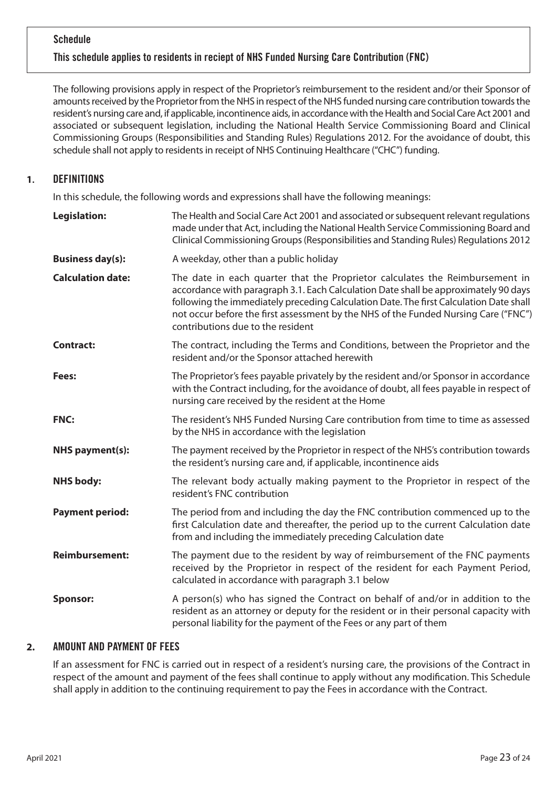## **Schedule**

## This schedule applies to residents in reciept of NHS Funded Nursing Care Contribution (FNC)

The following provisions apply in respect of the Proprietor's reimbursement to the resident and/or their Sponsor of amounts received by the Proprietor from the NHS in respect of the NHS funded nursing care contribution towards the resident's nursing care and, if applicable, incontinence aids, in accordance with the Health and Social Care Act 2001 and associated or subsequent legislation, including the National Health Service Commissioning Board and Clinical Commissioning Groups (Responsibilities and Standing Rules) Regulations 2012. For the avoidance of doubt, this schedule shall not apply to residents in receipt of NHS Continuing Healthcare ("CHC") funding.

## **1**. DEFINITIONS

In this schedule, the following words and expressions shall have the following meanings:

| <b>Legislation:</b>      | The Health and Social Care Act 2001 and associated or subsequent relevant regulations<br>made under that Act, including the National Health Service Commissioning Board and<br>Clinical Commissioning Groups (Responsibilities and Standing Rules) Regulations 2012                                                                                                                       |
|--------------------------|-------------------------------------------------------------------------------------------------------------------------------------------------------------------------------------------------------------------------------------------------------------------------------------------------------------------------------------------------------------------------------------------|
| <b>Business day(s):</b>  | A weekday, other than a public holiday                                                                                                                                                                                                                                                                                                                                                    |
| <b>Calculation date:</b> | The date in each quarter that the Proprietor calculates the Reimbursement in<br>accordance with paragraph 3.1. Each Calculation Date shall be approximately 90 days<br>following the immediately preceding Calculation Date. The first Calculation Date shall<br>not occur before the first assessment by the NHS of the Funded Nursing Care ("FNC")<br>contributions due to the resident |
| <b>Contract:</b>         | The contract, including the Terms and Conditions, between the Proprietor and the<br>resident and/or the Sponsor attached herewith                                                                                                                                                                                                                                                         |
| Fees:                    | The Proprietor's fees payable privately by the resident and/or Sponsor in accordance<br>with the Contract including, for the avoidance of doubt, all fees payable in respect of<br>nursing care received by the resident at the Home                                                                                                                                                      |
| FNC:                     | The resident's NHS Funded Nursing Care contribution from time to time as assessed<br>by the NHS in accordance with the legislation                                                                                                                                                                                                                                                        |
| <b>NHS payment(s):</b>   | The payment received by the Proprietor in respect of the NHS's contribution towards<br>the resident's nursing care and, if applicable, incontinence aids                                                                                                                                                                                                                                  |
| <b>NHS body:</b>         | The relevant body actually making payment to the Proprietor in respect of the<br>resident's FNC contribution                                                                                                                                                                                                                                                                              |
| <b>Payment period:</b>   | The period from and including the day the FNC contribution commenced up to the<br>first Calculation date and thereafter, the period up to the current Calculation date<br>from and including the immediately preceding Calculation date                                                                                                                                                   |
| <b>Reimbursement:</b>    | The payment due to the resident by way of reimbursement of the FNC payments<br>received by the Proprietor in respect of the resident for each Payment Period,<br>calculated in accordance with paragraph 3.1 below                                                                                                                                                                        |
| <b>Sponsor:</b>          | A person(s) who has signed the Contract on behalf of and/or in addition to the<br>resident as an attorney or deputy for the resident or in their personal capacity with<br>personal liability for the payment of the Fees or any part of them                                                                                                                                             |

## **2.** AMOUNT AND PAYMENT OF FEES

If an assessment for FNC is carried out in respect of a resident's nursing care, the provisions of the Contract in respect of the amount and payment of the fees shall continue to apply without any modification. This Schedule shall apply in addition to the continuing requirement to pay the Fees in accordance with the Contract.